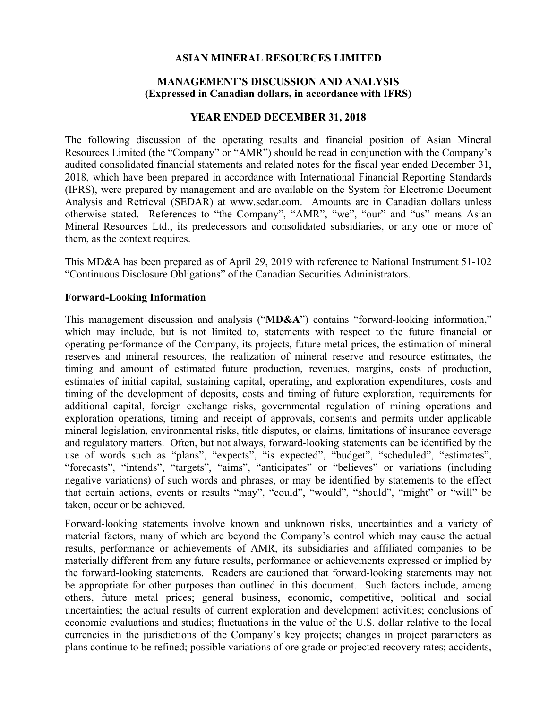## **ASIAN MINERAL RESOURCES LIMITED**

# **MANAGEMENT'S DISCUSSION AND ANALYSIS (Expressed in Canadian dollars, in accordance with IFRS)**

## **YEAR ENDED DECEMBER 31, 2018**

The following discussion of the operating results and financial position of Asian Mineral Resources Limited (the "Company" or "AMR") should be read in conjunction with the Company's audited consolidated financial statements and related notes for the fiscal year ended December 31, 2018, which have been prepared in accordance with International Financial Reporting Standards (IFRS), were prepared by management and are available on the System for Electronic Document Analysis and Retrieval (SEDAR) at www.sedar.com. Amounts are in Canadian dollars unless otherwise stated. References to "the Company", "AMR", "we", "our" and "us" means Asian Mineral Resources Ltd., its predecessors and consolidated subsidiaries, or any one or more of them, as the context requires.

This MD&A has been prepared as of April 29, 2019 with reference to National Instrument 51-102 "Continuous Disclosure Obligations" of the Canadian Securities Administrators.

## **Forward-Looking Information**

This management discussion and analysis ("**MD&A**") contains "forward-looking information," which may include, but is not limited to, statements with respect to the future financial or operating performance of the Company, its projects, future metal prices, the estimation of mineral reserves and mineral resources, the realization of mineral reserve and resource estimates, the timing and amount of estimated future production, revenues, margins, costs of production, estimates of initial capital, sustaining capital, operating, and exploration expenditures, costs and timing of the development of deposits, costs and timing of future exploration, requirements for additional capital, foreign exchange risks, governmental regulation of mining operations and exploration operations, timing and receipt of approvals, consents and permits under applicable mineral legislation, environmental risks, title disputes, or claims, limitations of insurance coverage and regulatory matters. Often, but not always, forward-looking statements can be identified by the use of words such as "plans", "expects", "is expected", "budget", "scheduled", "estimates", "forecasts", "intends", "targets", "aims", "anticipates" or "believes" or variations (including negative variations) of such words and phrases, or may be identified by statements to the effect that certain actions, events or results "may", "could", "would", "should", "might" or "will" be taken, occur or be achieved.

Forward-looking statements involve known and unknown risks, uncertainties and a variety of material factors, many of which are beyond the Company's control which may cause the actual results, performance or achievements of AMR, its subsidiaries and affiliated companies to be materially different from any future results, performance or achievements expressed or implied by the forward-looking statements. Readers are cautioned that forward-looking statements may not be appropriate for other purposes than outlined in this document. Such factors include, among others, future metal prices; general business, economic, competitive, political and social uncertainties; the actual results of current exploration and development activities; conclusions of economic evaluations and studies; fluctuations in the value of the U.S. dollar relative to the local currencies in the jurisdictions of the Company's key projects; changes in project parameters as plans continue to be refined; possible variations of ore grade or projected recovery rates; accidents,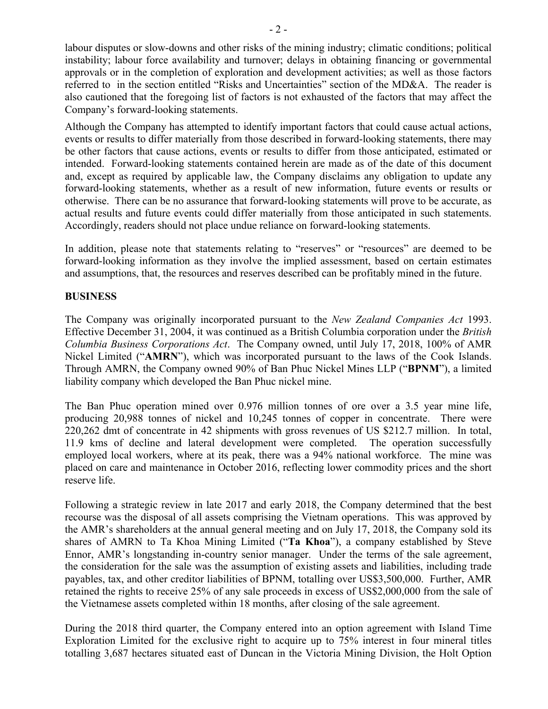labour disputes or slow-downs and other risks of the mining industry; climatic conditions; political instability; labour force availability and turnover; delays in obtaining financing or governmental approvals or in the completion of exploration and development activities; as well as those factors referred to in the section entitled "Risks and Uncertainties" section of the MD&A. The reader is also cautioned that the foregoing list of factors is not exhausted of the factors that may affect the Company's forward-looking statements.

Although the Company has attempted to identify important factors that could cause actual actions, events or results to differ materially from those described in forward-looking statements, there may be other factors that cause actions, events or results to differ from those anticipated, estimated or intended. Forward-looking statements contained herein are made as of the date of this document and, except as required by applicable law, the Company disclaims any obligation to update any forward-looking statements, whether as a result of new information, future events or results or otherwise. There can be no assurance that forward-looking statements will prove to be accurate, as actual results and future events could differ materially from those anticipated in such statements. Accordingly, readers should not place undue reliance on forward-looking statements.

In addition, please note that statements relating to "reserves" or "resources" are deemed to be forward-looking information as they involve the implied assessment, based on certain estimates and assumptions, that, the resources and reserves described can be profitably mined in the future.

## **BUSINESS**

The Company was originally incorporated pursuant to the *New Zealand Companies Act* 1993. Effective December 31, 2004, it was continued as a British Columbia corporation under the *British Columbia Business Corporations Act*. The Company owned, until July 17, 2018, 100% of AMR Nickel Limited ("**AMRN**"), which was incorporated pursuant to the laws of the Cook Islands. Through AMRN, the Company owned 90% of Ban Phuc Nickel Mines LLP ("**BPNM**"), a limited liability company which developed the Ban Phuc nickel mine.

The Ban Phuc operation mined over 0.976 million tonnes of ore over a 3.5 year mine life, producing 20,988 tonnes of nickel and 10,245 tonnes of copper in concentrate. There were 220,262 dmt of concentrate in 42 shipments with gross revenues of US \$212.7 million. In total, 11.9 kms of decline and lateral development were completed. The operation successfully employed local workers, where at its peak, there was a 94% national workforce. The mine was placed on care and maintenance in October 2016, reflecting lower commodity prices and the short reserve life.

Following a strategic review in late 2017 and early 2018, the Company determined that the best recourse was the disposal of all assets comprising the Vietnam operations. This was approved by the AMR's shareholders at the annual general meeting and on July 17, 2018, the Company sold its shares of AMRN to Ta Khoa Mining Limited ("**Ta Khoa**"), a company established by Steve Ennor, AMR's longstanding in-country senior manager. Under the terms of the sale agreement, the consideration for the sale was the assumption of existing assets and liabilities, including trade payables, tax, and other creditor liabilities of BPNM, totalling over US\$3,500,000. Further, AMR retained the rights to receive 25% of any sale proceeds in excess of US\$2,000,000 from the sale of the Vietnamese assets completed within 18 months, after closing of the sale agreement.

During the 2018 third quarter, the Company entered into an option agreement with Island Time Exploration Limited for the exclusive right to acquire up to 75% interest in four mineral titles totalling 3,687 hectares situated east of Duncan in the Victoria Mining Division, the Holt Option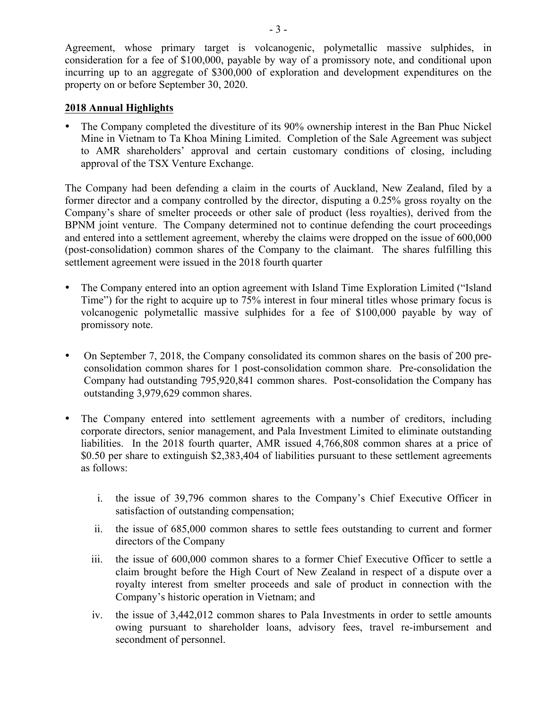Agreement, whose primary target is volcanogenic, polymetallic massive sulphides, in consideration for a fee of \$100,000, payable by way of a promissory note, and conditional upon incurring up to an aggregate of \$300,000 of exploration and development expenditures on the property on or before September 30, 2020.

# **2018 Annual Highlights**

• The Company completed the divestiture of its 90% ownership interest in the Ban Phuc Nickel Mine in Vietnam to Ta Khoa Mining Limited. Completion of the Sale Agreement was subject to AMR shareholders' approval and certain customary conditions of closing, including approval of the TSX Venture Exchange.

The Company had been defending a claim in the courts of Auckland, New Zealand, filed by a former director and a company controlled by the director, disputing a 0.25% gross royalty on the Company's share of smelter proceeds or other sale of product (less royalties), derived from the BPNM joint venture. The Company determined not to continue defending the court proceedings and entered into a settlement agreement, whereby the claims were dropped on the issue of 600,000 (post-consolidation) common shares of the Company to the claimant. The shares fulfilling this settlement agreement were issued in the 2018 fourth quarter

- The Company entered into an option agreement with Island Time Exploration Limited ("Island" Time") for the right to acquire up to 75% interest in four mineral titles whose primary focus is volcanogenic polymetallic massive sulphides for a fee of \$100,000 payable by way of promissory note.
- On September 7, 2018, the Company consolidated its common shares on the basis of 200 preconsolidation common shares for 1 post-consolidation common share. Pre-consolidation the Company had outstanding 795,920,841 common shares. Post-consolidation the Company has outstanding 3,979,629 common shares.
- The Company entered into settlement agreements with a number of creditors, including corporate directors, senior management, and Pala Investment Limited to eliminate outstanding liabilities. In the 2018 fourth quarter, AMR issued 4,766,808 common shares at a price of \$0.50 per share to extinguish \$2,383,404 of liabilities pursuant to these settlement agreements as follows:
	- i. the issue of 39,796 common shares to the Company's Chief Executive Officer in satisfaction of outstanding compensation;
	- ii. the issue of 685,000 common shares to settle fees outstanding to current and former directors of the Company
	- iii. the issue of 600,000 common shares to a former Chief Executive Officer to settle a claim brought before the High Court of New Zealand in respect of a dispute over a royalty interest from smelter proceeds and sale of product in connection with the Company's historic operation in Vietnam; and
	- iv. the issue of 3,442,012 common shares to Pala Investments in order to settle amounts owing pursuant to shareholder loans, advisory fees, travel re-imbursement and secondment of personnel.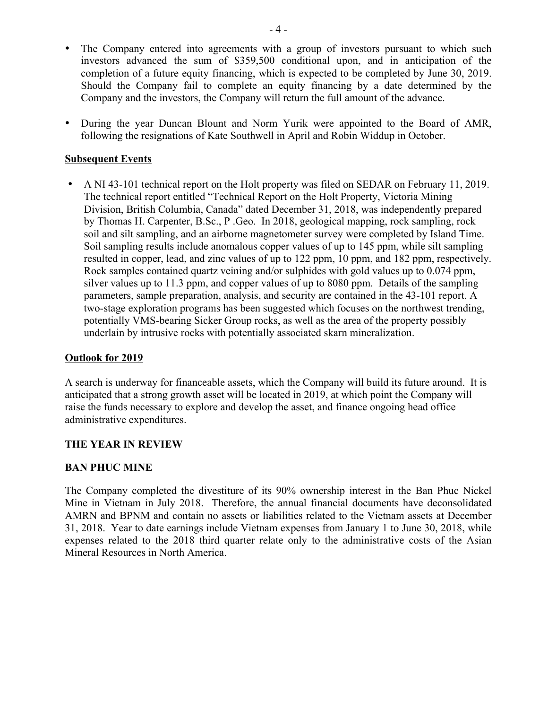- The Company entered into agreements with a group of investors pursuant to which such investors advanced the sum of \$359,500 conditional upon, and in anticipation of the completion of a future equity financing, which is expected to be completed by June 30, 2019. Should the Company fail to complete an equity financing by a date determined by the Company and the investors, the Company will return the full amount of the advance.
- During the year Duncan Blount and Norm Yurik were appointed to the Board of AMR, following the resignations of Kate Southwell in April and Robin Widdup in October.

## **Subsequent Events**

• A NI 43-101 technical report on the Holt property was filed on SEDAR on February 11, 2019. The technical report entitled "Technical Report on the Holt Property, Victoria Mining Division, British Columbia, Canada" dated December 31, 2018, was independently prepared by Thomas H. Carpenter, B.Sc., P .Geo. In 2018, geological mapping, rock sampling, rock soil and silt sampling, and an airborne magnetometer survey were completed by Island Time. Soil sampling results include anomalous copper values of up to 145 ppm, while silt sampling resulted in copper, lead, and zinc values of up to 122 ppm, 10 ppm, and 182 ppm, respectively. Rock samples contained quartz veining and/or sulphides with gold values up to 0.074 ppm, silver values up to 11.3 ppm, and copper values of up to 8080 ppm. Details of the sampling parameters, sample preparation, analysis, and security are contained in the 43-101 report. A two-stage exploration programs has been suggested which focuses on the northwest trending, potentially VMS-bearing Sicker Group rocks, as well as the area of the property possibly underlain by intrusive rocks with potentially associated skarn mineralization.

## **Outlook for 2019**

A search is underway for financeable assets, which the Company will build its future around. It is anticipated that a strong growth asset will be located in 2019, at which point the Company will raise the funds necessary to explore and develop the asset, and finance ongoing head office administrative expenditures.

## **THE YEAR IN REVIEW**

## **BAN PHUC MINE**

The Company completed the divestiture of its 90% ownership interest in the Ban Phuc Nickel Mine in Vietnam in July 2018. Therefore, the annual financial documents have deconsolidated AMRN and BPNM and contain no assets or liabilities related to the Vietnam assets at December 31, 2018. Year to date earnings include Vietnam expenses from January 1 to June 30, 2018, while expenses related to the 2018 third quarter relate only to the administrative costs of the Asian Mineral Resources in North America.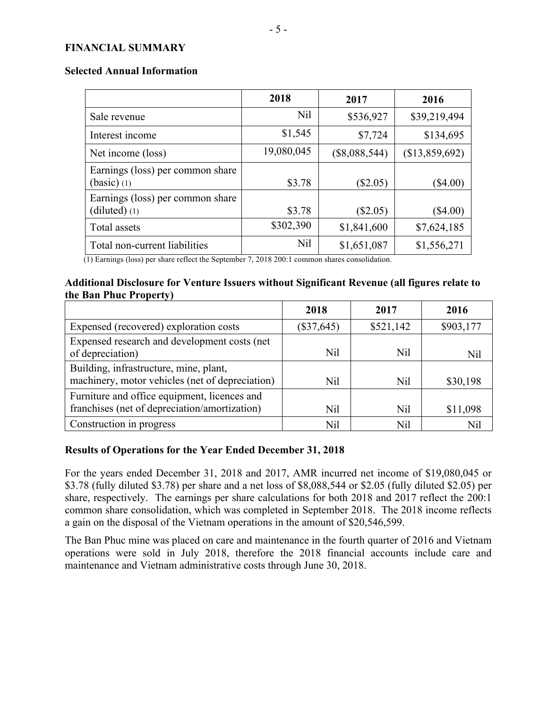#### **FINANCIAL SUMMARY**

|                                                     | 2018       | 2017            | 2016           |
|-----------------------------------------------------|------------|-----------------|----------------|
| Sale revenue                                        | Nil        | \$536,927       | \$39,219,494   |
| Interest income                                     | \$1,545    | \$7,724         | \$134,695      |
| Net income (loss)                                   | 19,080,045 | $(\$8,088,544)$ | (\$13,859,692) |
| Earnings (loss) per common share<br>$(basic)$ (1)   | \$3.78     | $(\$2.05)$      | $\$4.00)$      |
| Earnings (loss) per common share<br>$(diluted)$ (1) | \$3.78     | $(\$2.05)$      | $(\$4.00)$     |
| Total assets                                        | \$302,390  | \$1,841,600     | \$7,624,185    |
| Total non-current liabilities                       | Nil        | \$1,651,087     | \$1,556,271    |

(1) Earnings (loss) per share reflect the September 7, 2018 200:1 common shares consolidation.

# **Additional Disclosure for Venture Issuers without Significant Revenue (all figures relate to the Ban Phuc Property)**

|                                                                                               | 2018         | 2017      | 2016      |
|-----------------------------------------------------------------------------------------------|--------------|-----------|-----------|
| Expensed (recovered) exploration costs                                                        | $(\$37,645)$ | \$521,142 | \$903,177 |
| Expensed research and development costs (net<br>of depreciation)                              | Nil          | Nil       | Nil       |
| Building, infrastructure, mine, plant,<br>machinery, motor vehicles (net of depreciation)     | Nil          | Nil       | \$30,198  |
| Furniture and office equipment, licences and<br>franchises (net of depreciation/amortization) | Nil          | Nil       | \$11,098  |
| Construction in progress                                                                      | Nil          | Nil       | Nil       |

# **Results of Operations for the Year Ended December 31, 2018**

For the years ended December 31, 2018 and 2017, AMR incurred net income of \$19,080,045 or \$3.78 (fully diluted \$3.78) per share and a net loss of \$8,088,544 or \$2.05 (fully diluted \$2.05) per share, respectively. The earnings per share calculations for both 2018 and 2017 reflect the 200:1 common share consolidation, which was completed in September 2018. The 2018 income reflects a gain on the disposal of the Vietnam operations in the amount of \$20,546,599.

The Ban Phuc mine was placed on care and maintenance in the fourth quarter of 2016 and Vietnam operations were sold in July 2018, therefore the 2018 financial accounts include care and maintenance and Vietnam administrative costs through June 30, 2018.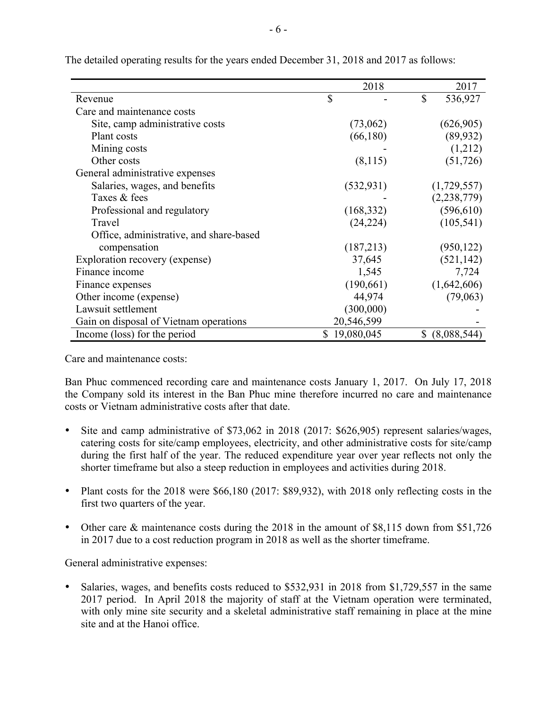|                                         | 2018         | 2017           |
|-----------------------------------------|--------------|----------------|
| Revenue                                 | \$           | \$<br>536,927  |
| Care and maintenance costs              |              |                |
| Site, camp administrative costs         | (73,062)     | (626,905)      |
| Plant costs                             | (66, 180)    | (89, 932)      |
| Mining costs                            |              | (1,212)        |
| Other costs                             | (8,115)      | (51, 726)      |
| General administrative expenses         |              |                |
| Salaries, wages, and benefits           | (532, 931)   | (1,729,557)    |
| Taxes & fees                            |              | (2, 238, 779)  |
| Professional and regulatory             | (168, 332)   | (596, 610)     |
| Travel                                  | (24, 224)    | (105, 541)     |
| Office, administrative, and share-based |              |                |
| compensation                            | (187,213)    | (950, 122)     |
| Exploration recovery (expense)          | 37,645       | (521, 142)     |
| Finance income                          | 1,545        | 7,724          |
| Finance expenses                        | (190,661)    | (1,642,606)    |
| Other income (expense)                  | 44,974       | (79,063)       |
| Lawsuit settlement                      | (300,000)    |                |
| Gain on disposal of Vietnam operations  | 20,546,599   |                |
| Income (loss) for the period            | \$19,080,045 | \$ (8,088,544) |

The detailed operating results for the years ended December 31, 2018 and 2017 as follows:

Care and maintenance costs:

Ban Phuc commenced recording care and maintenance costs January 1, 2017. On July 17, 2018 the Company sold its interest in the Ban Phuc mine therefore incurred no care and maintenance costs or Vietnam administrative costs after that date.

- Site and camp administrative of \$73,062 in 2018 (2017: \$626,905) represent salaries/wages, catering costs for site/camp employees, electricity, and other administrative costs for site/camp during the first half of the year. The reduced expenditure year over year reflects not only the shorter timeframe but also a steep reduction in employees and activities during 2018.
- Plant costs for the 2018 were \$66,180 (2017: \$89,932), with 2018 only reflecting costs in the first two quarters of the year.
- Other care & maintenance costs during the 2018 in the amount of \$8,115 down from \$51,726 in 2017 due to a cost reduction program in 2018 as well as the shorter timeframe.

General administrative expenses:

• Salaries, wages, and benefits costs reduced to \$532,931 in 2018 from \$1,729,557 in the same 2017 period. In April 2018 the majority of staff at the Vietnam operation were terminated, with only mine site security and a skeletal administrative staff remaining in place at the mine site and at the Hanoi office.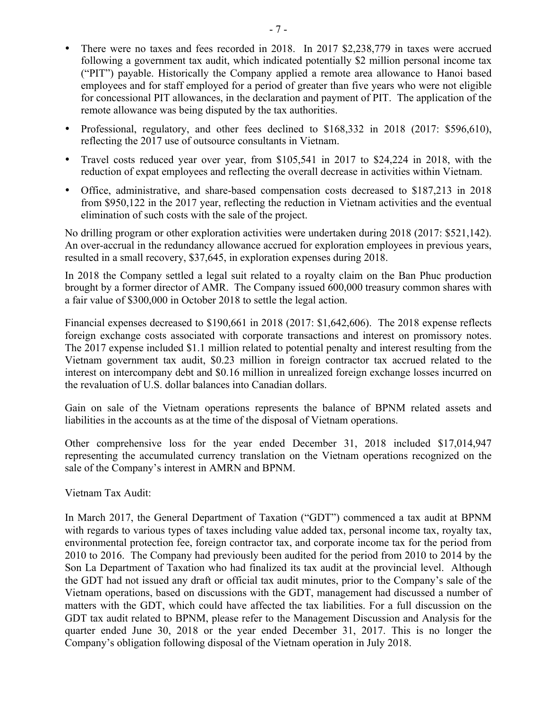- There were no taxes and fees recorded in 2018. In 2017 \$2,238,779 in taxes were accrued following a government tax audit, which indicated potentially \$2 million personal income tax ("PIT") payable. Historically the Company applied a remote area allowance to Hanoi based employees and for staff employed for a period of greater than five years who were not eligible for concessional PIT allowances, in the declaration and payment of PIT. The application of the remote allowance was being disputed by the tax authorities.
- Professional, regulatory, and other fees declined to \$168,332 in 2018 (2017: \$596,610), reflecting the 2017 use of outsource consultants in Vietnam.
- Travel costs reduced year over year, from \$105,541 in 2017 to \$24,224 in 2018, with the reduction of expat employees and reflecting the overall decrease in activities within Vietnam.
- Office, administrative, and share-based compensation costs decreased to \$187,213 in 2018 from \$950,122 in the 2017 year, reflecting the reduction in Vietnam activities and the eventual elimination of such costs with the sale of the project.

No drilling program or other exploration activities were undertaken during 2018 (2017: \$521,142). An over-accrual in the redundancy allowance accrued for exploration employees in previous years, resulted in a small recovery, \$37,645, in exploration expenses during 2018.

In 2018 the Company settled a legal suit related to a royalty claim on the Ban Phuc production brought by a former director of AMR. The Company issued 600,000 treasury common shares with a fair value of \$300,000 in October 2018 to settle the legal action.

Financial expenses decreased to \$190,661 in 2018 (2017: \$1,642,606). The 2018 expense reflects foreign exchange costs associated with corporate transactions and interest on promissory notes. The 2017 expense included \$1.1 million related to potential penalty and interest resulting from the Vietnam government tax audit, \$0.23 million in foreign contractor tax accrued related to the interest on intercompany debt and \$0.16 million in unrealized foreign exchange losses incurred on the revaluation of U.S. dollar balances into Canadian dollars.

Gain on sale of the Vietnam operations represents the balance of BPNM related assets and liabilities in the accounts as at the time of the disposal of Vietnam operations.

Other comprehensive loss for the year ended December 31, 2018 included \$17,014,947 representing the accumulated currency translation on the Vietnam operations recognized on the sale of the Company's interest in AMRN and BPNM.

Vietnam Tax Audit:

In March 2017, the General Department of Taxation ("GDT") commenced a tax audit at BPNM with regards to various types of taxes including value added tax, personal income tax, royalty tax, environmental protection fee, foreign contractor tax, and corporate income tax for the period from 2010 to 2016. The Company had previously been audited for the period from 2010 to 2014 by the Son La Department of Taxation who had finalized its tax audit at the provincial level. Although the GDT had not issued any draft or official tax audit minutes, prior to the Company's sale of the Vietnam operations, based on discussions with the GDT, management had discussed a number of matters with the GDT, which could have affected the tax liabilities. For a full discussion on the GDT tax audit related to BPNM, please refer to the Management Discussion and Analysis for the quarter ended June 30, 2018 or the year ended December 31, 2017. This is no longer the Company's obligation following disposal of the Vietnam operation in July 2018.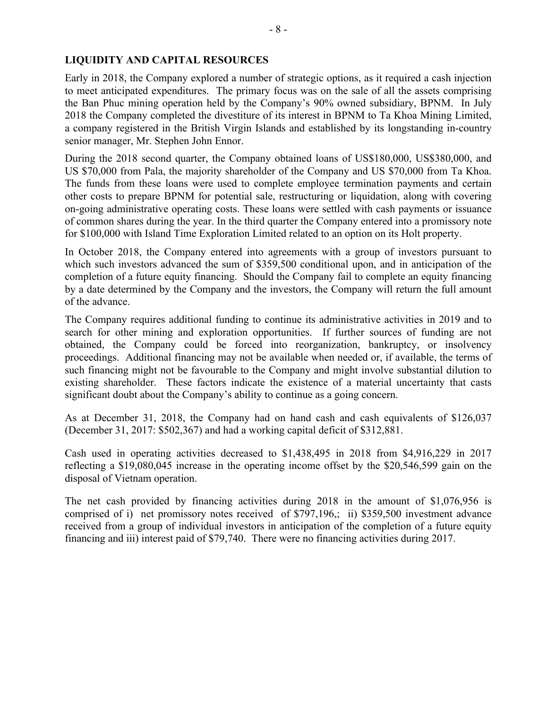# **LIQUIDITY AND CAPITAL RESOURCES**

Early in 2018, the Company explored a number of strategic options, as it required a cash injection to meet anticipated expenditures. The primary focus was on the sale of all the assets comprising the Ban Phuc mining operation held by the Company's 90% owned subsidiary, BPNM. In July 2018 the Company completed the divestiture of its interest in BPNM to Ta Khoa Mining Limited, a company registered in the British Virgin Islands and established by its longstanding in-country senior manager, Mr. Stephen John Ennor.

During the 2018 second quarter, the Company obtained loans of US\$180,000, US\$380,000, and US \$70,000 from Pala, the majority shareholder of the Company and US \$70,000 from Ta Khoa. The funds from these loans were used to complete employee termination payments and certain other costs to prepare BPNM for potential sale, restructuring or liquidation, along with covering on-going administrative operating costs. These loans were settled with cash payments or issuance of common shares during the year. In the third quarter the Company entered into a promissory note for \$100,000 with Island Time Exploration Limited related to an option on its Holt property.

In October 2018, the Company entered into agreements with a group of investors pursuant to which such investors advanced the sum of \$359,500 conditional upon, and in anticipation of the completion of a future equity financing. Should the Company fail to complete an equity financing by a date determined by the Company and the investors, the Company will return the full amount of the advance.

The Company requires additional funding to continue its administrative activities in 2019 and to search for other mining and exploration opportunities. If further sources of funding are not obtained, the Company could be forced into reorganization, bankruptcy, or insolvency proceedings. Additional financing may not be available when needed or, if available, the terms of such financing might not be favourable to the Company and might involve substantial dilution to existing shareholder. These factors indicate the existence of a material uncertainty that casts significant doubt about the Company's ability to continue as a going concern.

As at December 31, 2018, the Company had on hand cash and cash equivalents of \$126,037 (December 31, 2017: \$502,367) and had a working capital deficit of \$312,881.

Cash used in operating activities decreased to \$1,438,495 in 2018 from \$4,916,229 in 2017 reflecting a \$19,080,045 increase in the operating income offset by the \$20,546,599 gain on the disposal of Vietnam operation.

The net cash provided by financing activities during 2018 in the amount of \$1,076,956 is comprised of i) net promissory notes received of \$797,196,; ii) \$359,500 investment advance received from a group of individual investors in anticipation of the completion of a future equity financing and iii) interest paid of \$79,740. There were no financing activities during 2017.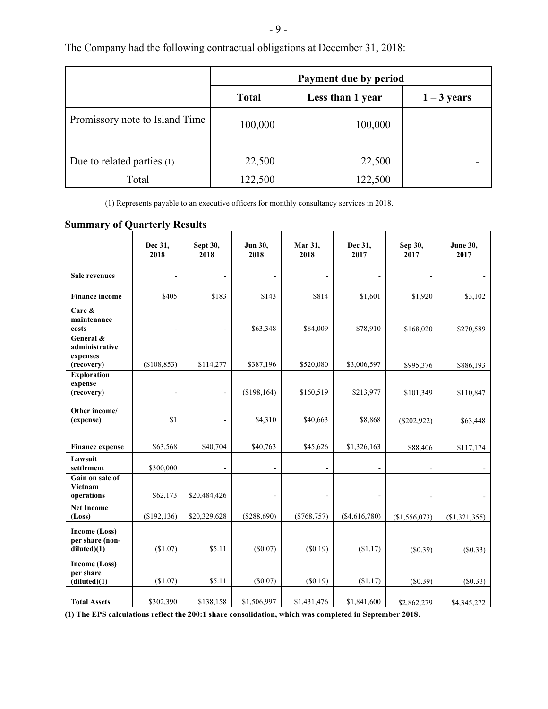| ۰.<br>٧ |  |  |  |
|---------|--|--|--|
|---------|--|--|--|

|                                | Payment due by period |                  |               |  |
|--------------------------------|-----------------------|------------------|---------------|--|
|                                | <b>Total</b>          | Less than 1 year | $1 - 3$ years |  |
| Promissory note to Island Time | 100,000               | 100,000          |               |  |
|                                |                       |                  |               |  |
| Due to related parties (1)     | 22,500                | 22,500           |               |  |
| Total                          | 122,500               | 122,500          |               |  |

The Company had the following contractual obligations at December 31, 2018:

(1) Represents payable to an executive officers for monthly consultancy services in 2018.

# **Summary of Quarterly Results**

|                                                       | Dec 31,<br>2018 | Sept 30,<br>2018 | Jun 30,<br>2018 | Mar 31,<br>2018 | Dec 31,<br>2017 | Sep 30,<br>2017 | <b>June 30,</b><br>2017 |
|-------------------------------------------------------|-----------------|------------------|-----------------|-----------------|-----------------|-----------------|-------------------------|
| Sale revenues                                         |                 | ÷.               |                 |                 |                 |                 |                         |
| <b>Finance income</b>                                 | \$405           | \$183            | \$143           | \$814           | \$1,601         | \$1,920         | \$3,102                 |
| Care &<br>maintenance<br>costs                        | $\blacksquare$  | $\blacksquare$   | \$63,348        | \$84,009        | \$78,910        | \$168,020       | \$270,589               |
| General &<br>administrative<br>expenses<br>(recovery) | (\$108,853)     | \$114,277        | \$387,196       | \$520,080       | \$3,006,597     | \$995,376       | \$886,193               |
| <b>Exploration</b><br>expense<br>(recovery)           |                 | $\blacksquare$   | (\$198,164)     | \$160,519       | \$213,977       | \$101,349       | \$110,847               |
| Other income/<br>(expense)                            | \$1             | $\frac{1}{2}$    | \$4,310         | \$40,663        | \$8,868         | $(\$202,922)$   | \$63,448                |
| <b>Finance expense</b>                                | \$63,568        | \$40,704         | \$40,763        | \$45,626        | \$1,326,163     | \$88,406        | \$117,174               |
| Lawsuit<br>settlement                                 | \$300,000       | ÷                |                 |                 |                 |                 |                         |
| Gain on sale of<br>Vietnam<br>operations              | \$62,173        | \$20,484,426     | $\blacksquare$  | $\blacksquare$  | ÷.              |                 |                         |
| <b>Net Income</b><br>(Loss)                           | (\$192, 136)    | \$20,329,628     | (\$288,690)     | $(\$768,757)$   | (\$4,616,780)   | (\$1,556,073)   | $(\$1,321,355)$         |
| Income (Loss)<br>per share (non-<br>diluted(1)        | (\$1.07)        | \$5.11           | $(\$0.07)$      | (\$0.19)        | (\$1.17)        | (S0.39)         | (S0.33)                 |
| Income (Loss)<br>per share<br>(diluted)(1)            | (\$1.07)        | \$5.11           | $(\$0.07)$      | (S0.19)         | (\$1.17)        | (S0.39)         | (\$0.33)                |
| <b>Total Assets</b>                                   | \$302,390       | \$138,158        | \$1,506,997     | \$1,431,476     | \$1,841,600     | \$2,862,279     | \$4,345,272             |

**(1) The EPS calculations reflect the 200:1 share consolidation, which was completed in September 2018**.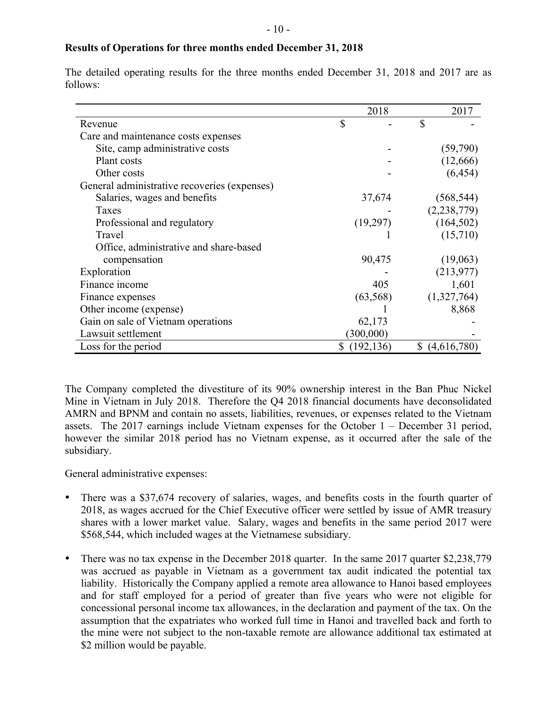# **Results of Operations for three months ended December 31, 2018**

The detailed operating results for the three months ended December 31, 2018 and 2017 are as follows:

|                                              | 2018             | 2017              |
|----------------------------------------------|------------------|-------------------|
| Revenue                                      | \$               | \$                |
| Care and maintenance costs expenses          |                  |                   |
| Site, camp administrative costs              |                  | (59, 790)         |
| Plant costs                                  |                  | (12,666)          |
| Other costs                                  |                  | (6, 454)          |
| General administrative recoveries (expenses) |                  |                   |
| Salaries, wages and benefits                 | 37,674           | (568, 544)        |
| Taxes                                        |                  | (2, 238, 779)     |
| Professional and regulatory                  | (19,297)         | (164, 502)        |
| Travel                                       |                  | (15,710)          |
| Office, administrative and share-based       |                  |                   |
| compensation                                 | 90,475           | (19,063)          |
| Exploration                                  |                  | (213, 977)        |
| Finance income                               | 405              | 1,601             |
| Finance expenses                             | (63, 568)        | (1,327,764)       |
| Other income (expense)                       |                  | 8,868             |
| Gain on sale of Vietnam operations           | 62,173           |                   |
| Lawsuit settlement                           | (300,000)        |                   |
| Loss for the period                          | \$<br>(192, 136) | \$<br>(4,616,780) |

The Company completed the divestiture of its 90% ownership interest in the Ban Phuc Nickel Mine in Vietnam in July 2018. Therefore the Q4 2018 financial documents have deconsolidated AMRN and BPNM and contain no assets, liabilities, revenues, or expenses related to the Vietnam assets. The 2017 earnings include Vietnam expenses for the October 1 – December 31 period, however the similar 2018 period has no Vietnam expense, as it occurred after the sale of the subsidiary.

General administrative expenses:

- There was a \$37,674 recovery of salaries, wages, and benefits costs in the fourth quarter of 2018, as wages accrued for the Chief Executive officer were settled by issue of AMR treasury shares with a lower market value. Salary, wages and benefits in the same period 2017 were \$568,544, which included wages at the Vietnamese subsidiary.
- There was no tax expense in the December 2018 quarter. In the same 2017 quarter \$2,238,779 was accrued as payable in Vietnam as a government tax audit indicated the potential tax liability. Historically the Company applied a remote area allowance to Hanoi based employees and for staff employed for a period of greater than five years who were not eligible for concessional personal income tax allowances, in the declaration and payment of the tax. On the assumption that the expatriates who worked full time in Hanoi and travelled back and forth to the mine were not subject to the non-taxable remote are allowance additional tax estimated at \$2 million would be payable.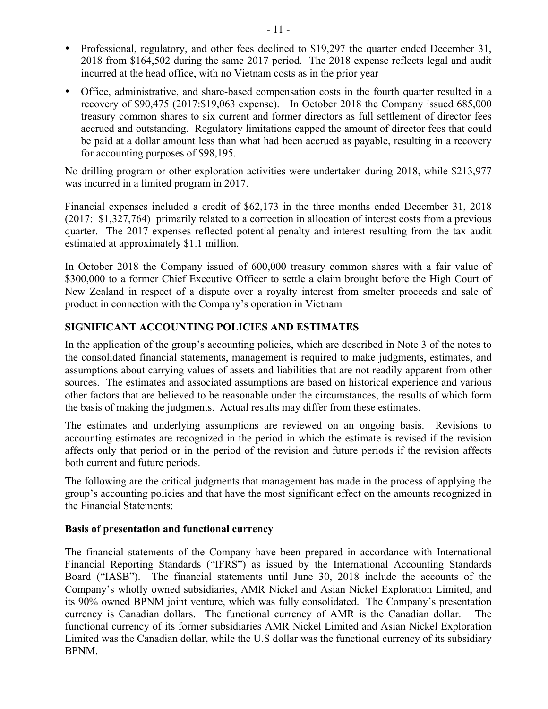- Professional, regulatory, and other fees declined to \$19,297 the quarter ended December 31, 2018 from \$164,502 during the same 2017 period. The 2018 expense reflects legal and audit incurred at the head office, with no Vietnam costs as in the prior year
- Office, administrative, and share-based compensation costs in the fourth quarter resulted in a recovery of \$90,475 (2017:\$19,063 expense). In October 2018 the Company issued 685,000 treasury common shares to six current and former directors as full settlement of director fees accrued and outstanding. Regulatory limitations capped the amount of director fees that could be paid at a dollar amount less than what had been accrued as payable, resulting in a recovery for accounting purposes of \$98,195.

No drilling program or other exploration activities were undertaken during 2018, while \$213,977 was incurred in a limited program in 2017.

Financial expenses included a credit of \$62,173 in the three months ended December 31, 2018 (2017: \$1,327,764) primarily related to a correction in allocation of interest costs from a previous quarter. The 2017 expenses reflected potential penalty and interest resulting from the tax audit estimated at approximately \$1.1 million.

In October 2018 the Company issued of 600,000 treasury common shares with a fair value of \$300,000 to a former Chief Executive Officer to settle a claim brought before the High Court of New Zealand in respect of a dispute over a royalty interest from smelter proceeds and sale of product in connection with the Company's operation in Vietnam

# **SIGNIFICANT ACCOUNTING POLICIES AND ESTIMATES**

In the application of the group's accounting policies, which are described in Note 3 of the notes to the consolidated financial statements, management is required to make judgments, estimates, and assumptions about carrying values of assets and liabilities that are not readily apparent from other sources. The estimates and associated assumptions are based on historical experience and various other factors that are believed to be reasonable under the circumstances, the results of which form the basis of making the judgments. Actual results may differ from these estimates.

The estimates and underlying assumptions are reviewed on an ongoing basis. Revisions to accounting estimates are recognized in the period in which the estimate is revised if the revision affects only that period or in the period of the revision and future periods if the revision affects both current and future periods.

The following are the critical judgments that management has made in the process of applying the group's accounting policies and that have the most significant effect on the amounts recognized in the Financial Statements:

## **Basis of presentation and functional currency**

The financial statements of the Company have been prepared in accordance with International Financial Reporting Standards ("IFRS") as issued by the International Accounting Standards Board ("IASB"). The financial statements until June 30, 2018 include the accounts of the Company's wholly owned subsidiaries, AMR Nickel and Asian Nickel Exploration Limited, and its 90% owned BPNM joint venture, which was fully consolidated. The Company's presentation currency is Canadian dollars. The functional currency of AMR is the Canadian dollar. The functional currency of its former subsidiaries AMR Nickel Limited and Asian Nickel Exploration Limited was the Canadian dollar, while the U.S dollar was the functional currency of its subsidiary BPNM.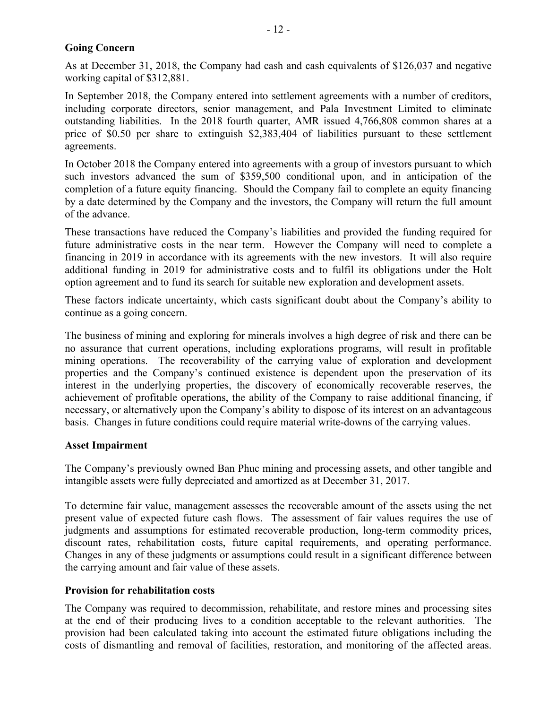# **Going Concern**

As at December 31, 2018, the Company had cash and cash equivalents of \$126,037 and negative working capital of \$312,881.

In September 2018, the Company entered into settlement agreements with a number of creditors, including corporate directors, senior management, and Pala Investment Limited to eliminate outstanding liabilities. In the 2018 fourth quarter, AMR issued 4,766,808 common shares at a price of \$0.50 per share to extinguish \$2,383,404 of liabilities pursuant to these settlement agreements.

In October 2018 the Company entered into agreements with a group of investors pursuant to which such investors advanced the sum of \$359,500 conditional upon, and in anticipation of the completion of a future equity financing. Should the Company fail to complete an equity financing by a date determined by the Company and the investors, the Company will return the full amount of the advance.

These transactions have reduced the Company's liabilities and provided the funding required for future administrative costs in the near term. However the Company will need to complete a financing in 2019 in accordance with its agreements with the new investors. It will also require additional funding in 2019 for administrative costs and to fulfil its obligations under the Holt option agreement and to fund its search for suitable new exploration and development assets.

These factors indicate uncertainty, which casts significant doubt about the Company's ability to continue as a going concern.

The business of mining and exploring for minerals involves a high degree of risk and there can be no assurance that current operations, including explorations programs, will result in profitable mining operations. The recoverability of the carrying value of exploration and development properties and the Company's continued existence is dependent upon the preservation of its interest in the underlying properties, the discovery of economically recoverable reserves, the achievement of profitable operations, the ability of the Company to raise additional financing, if necessary, or alternatively upon the Company's ability to dispose of its interest on an advantageous basis. Changes in future conditions could require material write-downs of the carrying values.

## **Asset Impairment**

The Company's previously owned Ban Phuc mining and processing assets, and other tangible and intangible assets were fully depreciated and amortized as at December 31, 2017.

To determine fair value, management assesses the recoverable amount of the assets using the net present value of expected future cash flows. The assessment of fair values requires the use of judgments and assumptions for estimated recoverable production, long-term commodity prices, discount rates, rehabilitation costs, future capital requirements, and operating performance. Changes in any of these judgments or assumptions could result in a significant difference between the carrying amount and fair value of these assets.

# **Provision for rehabilitation costs**

The Company was required to decommission, rehabilitate, and restore mines and processing sites at the end of their producing lives to a condition acceptable to the relevant authorities. The provision had been calculated taking into account the estimated future obligations including the costs of dismantling and removal of facilities, restoration, and monitoring of the affected areas.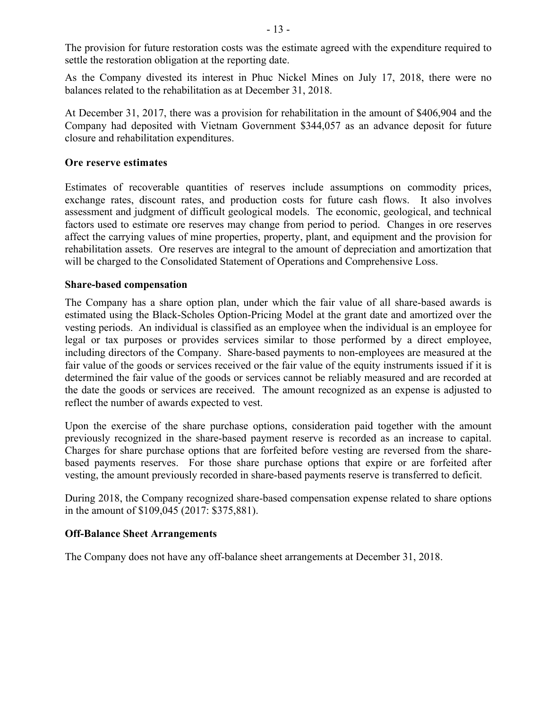The provision for future restoration costs was the estimate agreed with the expenditure required to settle the restoration obligation at the reporting date.

As the Company divested its interest in Phuc Nickel Mines on July 17, 2018, there were no balances related to the rehabilitation as at December 31, 2018.

At December 31, 2017, there was a provision for rehabilitation in the amount of \$406,904 and the Company had deposited with Vietnam Government \$344,057 as an advance deposit for future closure and rehabilitation expenditures.

# **Ore reserve estimates**

Estimates of recoverable quantities of reserves include assumptions on commodity prices, exchange rates, discount rates, and production costs for future cash flows. It also involves assessment and judgment of difficult geological models. The economic, geological, and technical factors used to estimate ore reserves may change from period to period. Changes in ore reserves affect the carrying values of mine properties, property, plant, and equipment and the provision for rehabilitation assets. Ore reserves are integral to the amount of depreciation and amortization that will be charged to the Consolidated Statement of Operations and Comprehensive Loss.

## **Share-based compensation**

The Company has a share option plan, under which the fair value of all share-based awards is estimated using the Black-Scholes Option-Pricing Model at the grant date and amortized over the vesting periods. An individual is classified as an employee when the individual is an employee for legal or tax purposes or provides services similar to those performed by a direct employee, including directors of the Company. Share-based payments to non-employees are measured at the fair value of the goods or services received or the fair value of the equity instruments issued if it is determined the fair value of the goods or services cannot be reliably measured and are recorded at the date the goods or services are received. The amount recognized as an expense is adjusted to reflect the number of awards expected to vest.

Upon the exercise of the share purchase options, consideration paid together with the amount previously recognized in the share-based payment reserve is recorded as an increase to capital. Charges for share purchase options that are forfeited before vesting are reversed from the sharebased payments reserves. For those share purchase options that expire or are forfeited after vesting, the amount previously recorded in share-based payments reserve is transferred to deficit.

During 2018, the Company recognized share-based compensation expense related to share options in the amount of \$109,045 (2017: \$375,881).

## **Off-Balance Sheet Arrangements**

The Company does not have any off-balance sheet arrangements at December 31, 2018.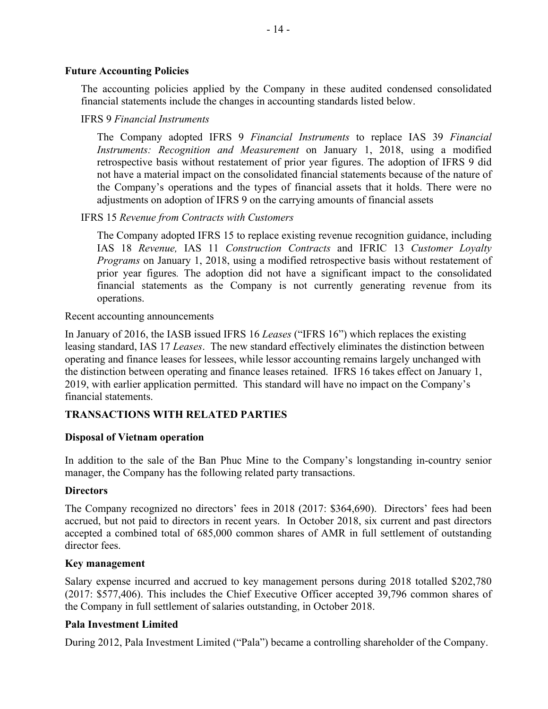## **Future Accounting Policies**

The accounting policies applied by the Company in these audited condensed consolidated financial statements include the changes in accounting standards listed below.

## IFRS 9 *Financial Instruments*

The Company adopted IFRS 9 *Financial Instruments* to replace IAS 39 *Financial Instruments: Recognition and Measurement* on January 1, 2018, using a modified retrospective basis without restatement of prior year figures. The adoption of IFRS 9 did not have a material impact on the consolidated financial statements because of the nature of the Company's operations and the types of financial assets that it holds. There were no adjustments on adoption of IFRS 9 on the carrying amounts of financial assets

## IFRS 15 *Revenue from Contracts with Customers*

The Company adopted IFRS 15 to replace existing revenue recognition guidance, including IAS 18 *Revenue,* IAS 11 *Construction Contracts* and IFRIC 13 *Customer Loyalty Programs* on January 1, 2018, using a modified retrospective basis without restatement of prior year figures*.* The adoption did not have a significant impact to the consolidated financial statements as the Company is not currently generating revenue from its operations.

#### Recent accounting announcements

In January of 2016, the IASB issued IFRS 16 *Leases* ("IFRS 16") which replaces the existing leasing standard, IAS 17 *Leases*. The new standard effectively eliminates the distinction between operating and finance leases for lessees, while lessor accounting remains largely unchanged with the distinction between operating and finance leases retained. IFRS 16 takes effect on January 1, 2019, with earlier application permitted. This standard will have no impact on the Company's financial statements.

## **TRANSACTIONS WITH RELATED PARTIES**

## **Disposal of Vietnam operation**

In addition to the sale of the Ban Phuc Mine to the Company's longstanding in-country senior manager, the Company has the following related party transactions.

## **Directors**

The Company recognized no directors' fees in 2018 (2017: \$364,690). Directors' fees had been accrued, but not paid to directors in recent years. In October 2018, six current and past directors accepted a combined total of 685,000 common shares of AMR in full settlement of outstanding director fees.

#### **Key management**

Salary expense incurred and accrued to key management persons during 2018 totalled \$202,780 (2017: \$577,406). This includes the Chief Executive Officer accepted 39,796 common shares of the Company in full settlement of salaries outstanding, in October 2018.

#### **Pala Investment Limited**

During 2012, Pala Investment Limited ("Pala") became a controlling shareholder of the Company.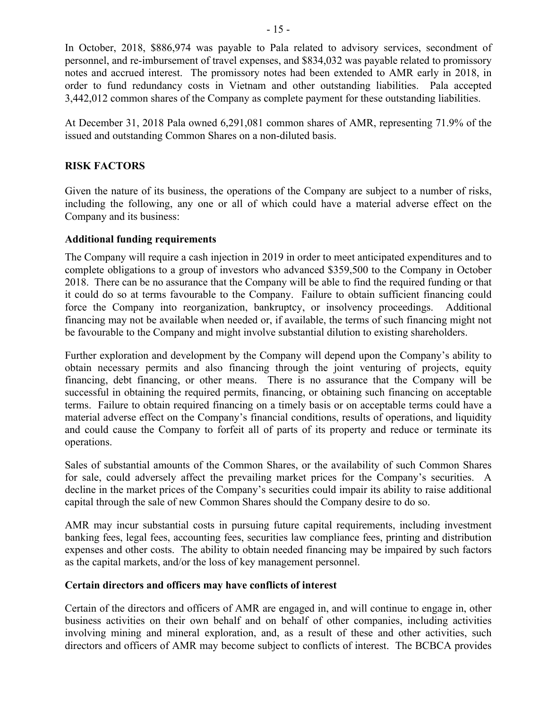In October, 2018, \$886,974 was payable to Pala related to advisory services, secondment of personnel, and re-imbursement of travel expenses, and \$834,032 was payable related to promissory notes and accrued interest. The promissory notes had been extended to AMR early in 2018, in order to fund redundancy costs in Vietnam and other outstanding liabilities. Pala accepted 3,442,012 common shares of the Company as complete payment for these outstanding liabilities.

At December 31, 2018 Pala owned 6,291,081 common shares of AMR, representing 71.9% of the issued and outstanding Common Shares on a non-diluted basis.

# **RISK FACTORS**

Given the nature of its business, the operations of the Company are subject to a number of risks, including the following, any one or all of which could have a material adverse effect on the Company and its business:

## **Additional funding requirements**

The Company will require a cash injection in 2019 in order to meet anticipated expenditures and to complete obligations to a group of investors who advanced \$359,500 to the Company in October 2018. There can be no assurance that the Company will be able to find the required funding or that it could do so at terms favourable to the Company. Failure to obtain sufficient financing could force the Company into reorganization, bankruptcy, or insolvency proceedings. Additional financing may not be available when needed or, if available, the terms of such financing might not be favourable to the Company and might involve substantial dilution to existing shareholders.

Further exploration and development by the Company will depend upon the Company's ability to obtain necessary permits and also financing through the joint venturing of projects, equity financing, debt financing, or other means. There is no assurance that the Company will be successful in obtaining the required permits, financing, or obtaining such financing on acceptable terms. Failure to obtain required financing on a timely basis or on acceptable terms could have a material adverse effect on the Company's financial conditions, results of operations, and liquidity and could cause the Company to forfeit all of parts of its property and reduce or terminate its operations.

Sales of substantial amounts of the Common Shares, or the availability of such Common Shares for sale, could adversely affect the prevailing market prices for the Company's securities. A decline in the market prices of the Company's securities could impair its ability to raise additional capital through the sale of new Common Shares should the Company desire to do so.

AMR may incur substantial costs in pursuing future capital requirements, including investment banking fees, legal fees, accounting fees, securities law compliance fees, printing and distribution expenses and other costs. The ability to obtain needed financing may be impaired by such factors as the capital markets, and/or the loss of key management personnel.

## **Certain directors and officers may have conflicts of interest**

Certain of the directors and officers of AMR are engaged in, and will continue to engage in, other business activities on their own behalf and on behalf of other companies, including activities involving mining and mineral exploration, and, as a result of these and other activities, such directors and officers of AMR may become subject to conflicts of interest. The BCBCA provides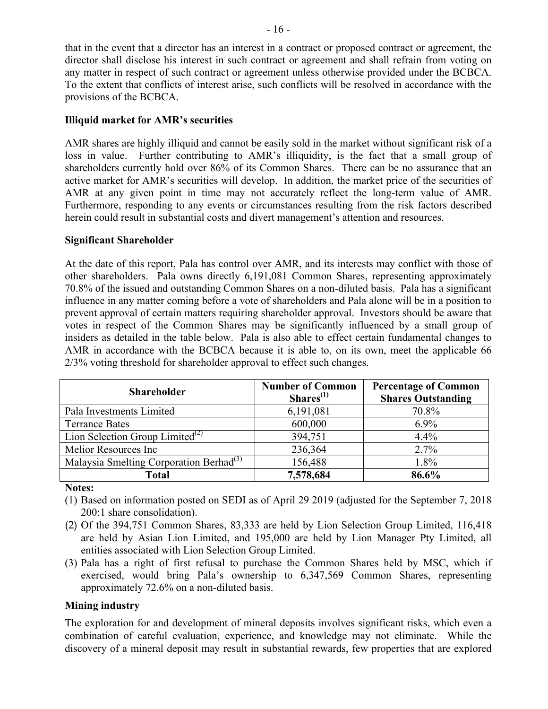that in the event that a director has an interest in a contract or proposed contract or agreement, the director shall disclose his interest in such contract or agreement and shall refrain from voting on any matter in respect of such contract or agreement unless otherwise provided under the BCBCA. To the extent that conflicts of interest arise, such conflicts will be resolved in accordance with the provisions of the BCBCA.

### **Illiquid market for AMR's securities**

AMR shares are highly illiquid and cannot be easily sold in the market without significant risk of a loss in value. Further contributing to AMR's illiquidity, is the fact that a small group of shareholders currently hold over 86% of its Common Shares. There can be no assurance that an active market for AMR's securities will develop. In addition, the market price of the securities of AMR at any given point in time may not accurately reflect the long-term value of AMR. Furthermore, responding to any events or circumstances resulting from the risk factors described herein could result in substantial costs and divert management's attention and resources.

#### **Significant Shareholder**

At the date of this report, Pala has control over AMR, and its interests may conflict with those of other shareholders. Pala owns directly 6,191,081 Common Shares, representing approximately 70.8% of the issued and outstanding Common Shares on a non-diluted basis. Pala has a significant influence in any matter coming before a vote of shareholders and Pala alone will be in a position to prevent approval of certain matters requiring shareholder approval. Investors should be aware that votes in respect of the Common Shares may be significantly influenced by a small group of insiders as detailed in the table below. Pala is also able to effect certain fundamental changes to AMR in accordance with the BCBCA because it is able to, on its own, meet the applicable 66 2/3% voting threshold for shareholder approval to effect such changes.

| <b>Shareholder</b>                                  | <b>Number of Common</b><br>Shares <sup>(1)</sup> | <b>Percentage of Common</b><br><b>Shares Outstanding</b> |
|-----------------------------------------------------|--------------------------------------------------|----------------------------------------------------------|
| Pala Investments Limited                            | 6,191,081                                        | 70.8%                                                    |
| <b>Terrance Bates</b>                               | 600,000                                          | $6.9\%$                                                  |
| Lion Selection Group Limited <sup>(2)</sup>         | 394,751                                          | 4.4%                                                     |
| Melior Resources Inc                                | 236,364                                          | 2.7%                                                     |
| Malaysia Smelting Corporation Berhad <sup>(3)</sup> | 156,488                                          | 1.8%                                                     |
| <b>Total</b>                                        | 7,578,684                                        | 86.6%                                                    |

**Notes:**

- (1) Based on information posted on SEDI as of April 29 2019 (adjusted for the September 7, 2018 200:1 share consolidation).
- (2) Of the 394,751 Common Shares, 83,333 are held by Lion Selection Group Limited, 116,418 are held by Asian Lion Limited, and 195,000 are held by Lion Manager Pty Limited, all entities associated with Lion Selection Group Limited.
- (3) Pala has a right of first refusal to purchase the Common Shares held by MSC, which if exercised, would bring Pala's ownership to 6,347,569 Common Shares, representing approximately 72.6% on a non-diluted basis.

## **Mining industry**

The exploration for and development of mineral deposits involves significant risks, which even a combination of careful evaluation, experience, and knowledge may not eliminate. While the discovery of a mineral deposit may result in substantial rewards, few properties that are explored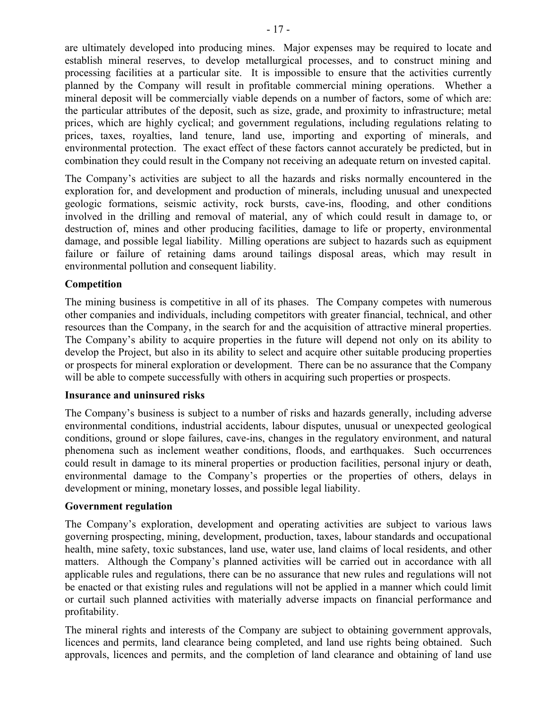are ultimately developed into producing mines. Major expenses may be required to locate and establish mineral reserves, to develop metallurgical processes, and to construct mining and processing facilities at a particular site. It is impossible to ensure that the activities currently planned by the Company will result in profitable commercial mining operations. Whether a mineral deposit will be commercially viable depends on a number of factors, some of which are: the particular attributes of the deposit, such as size, grade, and proximity to infrastructure; metal prices, which are highly cyclical; and government regulations, including regulations relating to prices, taxes, royalties, land tenure, land use, importing and exporting of minerals, and environmental protection. The exact effect of these factors cannot accurately be predicted, but in combination they could result in the Company not receiving an adequate return on invested capital.

The Company's activities are subject to all the hazards and risks normally encountered in the exploration for, and development and production of minerals, including unusual and unexpected geologic formations, seismic activity, rock bursts, cave-ins, flooding, and other conditions involved in the drilling and removal of material, any of which could result in damage to, or destruction of, mines and other producing facilities, damage to life or property, environmental damage, and possible legal liability. Milling operations are subject to hazards such as equipment failure or failure of retaining dams around tailings disposal areas, which may result in environmental pollution and consequent liability.

## **Competition**

The mining business is competitive in all of its phases. The Company competes with numerous other companies and individuals, including competitors with greater financial, technical, and other resources than the Company, in the search for and the acquisition of attractive mineral properties. The Company's ability to acquire properties in the future will depend not only on its ability to develop the Project, but also in its ability to select and acquire other suitable producing properties or prospects for mineral exploration or development. There can be no assurance that the Company will be able to compete successfully with others in acquiring such properties or prospects.

## **Insurance and uninsured risks**

The Company's business is subject to a number of risks and hazards generally, including adverse environmental conditions, industrial accidents, labour disputes, unusual or unexpected geological conditions, ground or slope failures, cave-ins, changes in the regulatory environment, and natural phenomena such as inclement weather conditions, floods, and earthquakes. Such occurrences could result in damage to its mineral properties or production facilities, personal injury or death, environmental damage to the Company's properties or the properties of others, delays in development or mining, monetary losses, and possible legal liability.

## **Government regulation**

The Company's exploration, development and operating activities are subject to various laws governing prospecting, mining, development, production, taxes, labour standards and occupational health, mine safety, toxic substances, land use, water use, land claims of local residents, and other matters. Although the Company's planned activities will be carried out in accordance with all applicable rules and regulations, there can be no assurance that new rules and regulations will not be enacted or that existing rules and regulations will not be applied in a manner which could limit or curtail such planned activities with materially adverse impacts on financial performance and profitability.

The mineral rights and interests of the Company are subject to obtaining government approvals, licences and permits, land clearance being completed, and land use rights being obtained. Such approvals, licences and permits, and the completion of land clearance and obtaining of land use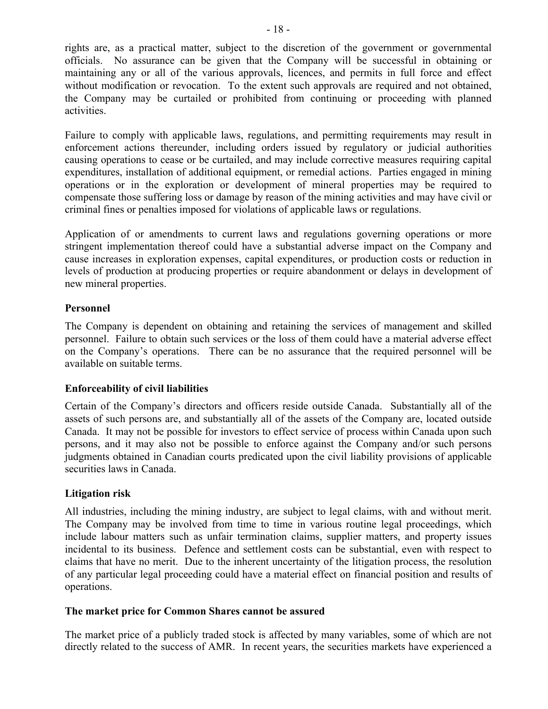rights are, as a practical matter, subject to the discretion of the government or governmental officials. No assurance can be given that the Company will be successful in obtaining or maintaining any or all of the various approvals, licences, and permits in full force and effect without modification or revocation. To the extent such approvals are required and not obtained, the Company may be curtailed or prohibited from continuing or proceeding with planned activities.

Failure to comply with applicable laws, regulations, and permitting requirements may result in enforcement actions thereunder, including orders issued by regulatory or judicial authorities causing operations to cease or be curtailed, and may include corrective measures requiring capital expenditures, installation of additional equipment, or remedial actions. Parties engaged in mining operations or in the exploration or development of mineral properties may be required to compensate those suffering loss or damage by reason of the mining activities and may have civil or criminal fines or penalties imposed for violations of applicable laws or regulations.

Application of or amendments to current laws and regulations governing operations or more stringent implementation thereof could have a substantial adverse impact on the Company and cause increases in exploration expenses, capital expenditures, or production costs or reduction in levels of production at producing properties or require abandonment or delays in development of new mineral properties.

## **Personnel**

The Company is dependent on obtaining and retaining the services of management and skilled personnel. Failure to obtain such services or the loss of them could have a material adverse effect on the Company's operations. There can be no assurance that the required personnel will be available on suitable terms.

## **Enforceability of civil liabilities**

Certain of the Company's directors and officers reside outside Canada. Substantially all of the assets of such persons are, and substantially all of the assets of the Company are, located outside Canada. It may not be possible for investors to effect service of process within Canada upon such persons, and it may also not be possible to enforce against the Company and/or such persons judgments obtained in Canadian courts predicated upon the civil liability provisions of applicable securities laws in Canada.

## **Litigation risk**

All industries, including the mining industry, are subject to legal claims, with and without merit. The Company may be involved from time to time in various routine legal proceedings, which include labour matters such as unfair termination claims, supplier matters, and property issues incidental to its business. Defence and settlement costs can be substantial, even with respect to claims that have no merit. Due to the inherent uncertainty of the litigation process, the resolution of any particular legal proceeding could have a material effect on financial position and results of operations.

## **The market price for Common Shares cannot be assured**

The market price of a publicly traded stock is affected by many variables, some of which are not directly related to the success of AMR. In recent years, the securities markets have experienced a